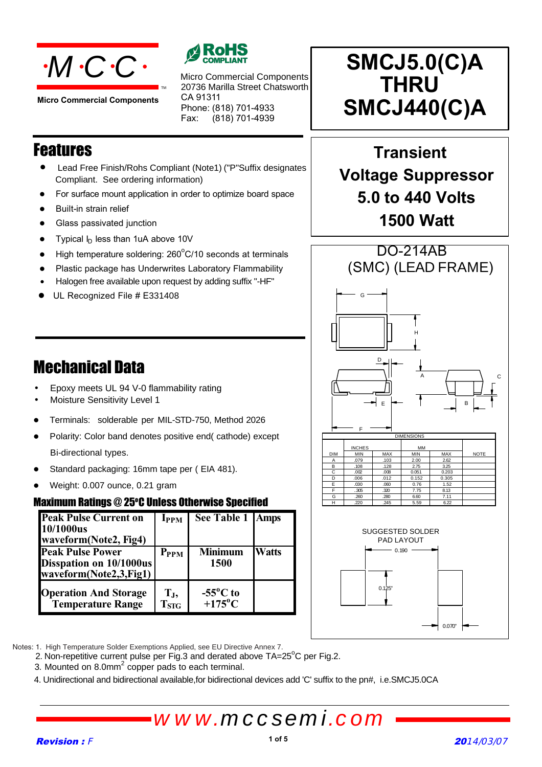

**Micro Commercial Components**



20736 Marilla Street Chatsworth CA 91311 Phone: (818) 701-4933 Micro Commercial Components

Fax: (818) 701-4939

### Features

- Lead Free Finish/Rohs Compliant (Note1) ("P"Suffix designates Compliant. See ordering information)
- For surface mount application in order to optimize board space
- Built-in strain relief
- **•** Glass passivated junction
- Typical  $I_D$  less than 1uA above 10V
- $\bullet$  High temperature soldering: 260 $^{\circ}$ C/10 seconds at terminals
- Plastic package has Underwrites Laboratory Flammability
- $\overline{\phantom{a}}$ • Halogen free available upon request by adding suffix "-HF"
- UL Recognized File # E331408

### Mechanical Data

- Epoxy meets UL 94 V-0 flammability rating
- Moisture Sensitivity Level 1
- Terminals: solderable per MIL-STD-750, Method 2026
- Polarity: Color band denotes positive end( cathode) except Bi-directional types.
- Standard packaging: 16mm tape per ( EIA 481).
- Weight: 0.007 ounce, 0.21 gram

#### **Maximum Ratings @ 25°C Unless Otherwise Specified**

| <b>Peak Pulse Current on</b><br>10/1000us                                    | <b>I</b> <sub>PPM</sub>              | See Table 1   Amps                          |              |
|------------------------------------------------------------------------------|--------------------------------------|---------------------------------------------|--------------|
| waveform(Note2, Fig4)                                                        |                                      |                                             |              |
| <b>Peak Pulse Power</b><br>Disspation on 10/1000us<br>waveform(Note2,3,Fig1) | $P_{PPM}$                            | <b>Minimum</b><br>1500                      | <b>Watts</b> |
| <b>Operation And Storage</b><br><b>Temperature Range</b>                     | T <sub>J</sub> ,<br>T <sub>STG</sub> | $-55^{\circ}$ C to<br>$+175$ <sup>o</sup> C |              |

# **SMCJ5.0(C)A THRU SMCJ440(C)A**

### **Transient Voltage Suppressor 5.0 to 440 Volts 1500 Watt**







Notes: 1. High Temperature Solder Exemptions Applied, see EU Directive Annex 7.

2. Non-repetitive current pulse per Fig.3 and derated above  $TA=25^{\circ}C$  per Fig.2.

3. Mounted on 8.0mm $^2$  copper pads to each terminal.

4. Unidirectional and bidirectional available,for bidirectional devices add 'C' suffix to the pn#, i.e.SMCJ5.0CA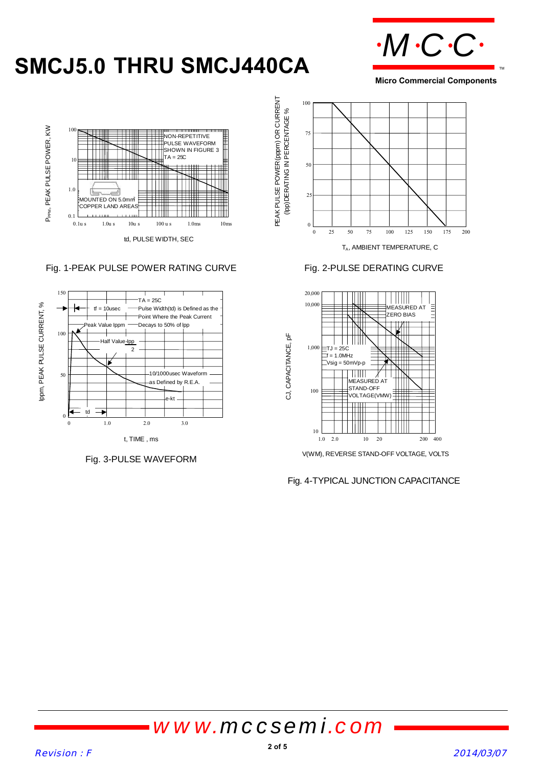# **SMCJ5.0 THRU SMCJ440CA**



**Micro Commercial Components**



#### Fig. 1-PEAK PULSE POWER RATING CURVE Fig. 2-PULSE DERATING CURVE



Fig. 3-PULSE WAVEFORM





V(WM), REVERSE STAND-OFF VOLTAGE, VOLTS

Fig. 4-TYPICAL JUNCTION CAPACITANCE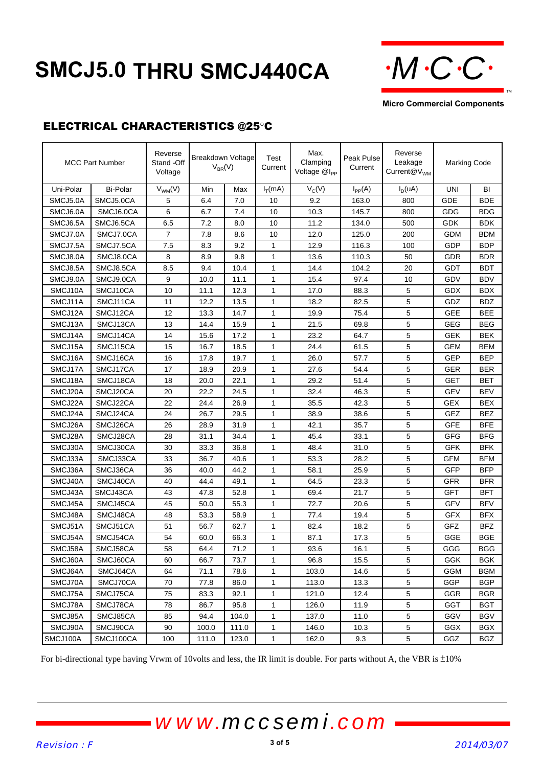# **SMCJ5.0 THRU SMCJ440CA**



**Micro Commercial Components**

#### ELECTRICAL CHARACTERISTICS @25°C

|           | <b>MCC Part Number</b> | Reverse<br>Stand -Off<br>Voltage | <b>Breakdown Voltage</b><br>$V_{BR}(V)$ |       | Test<br>Current | Max.<br>Clamping<br>Voltage @I <sub>PP</sub> | Peak Pulse<br>Current | Reverse<br>Leakage<br>Current $@V_{WM}$ | <b>Marking Code</b> |            |
|-----------|------------------------|----------------------------------|-----------------------------------------|-------|-----------------|----------------------------------------------|-----------------------|-----------------------------------------|---------------------|------------|
| Uni-Polar | <b>Bi-Polar</b>        | $V_{WM}(V)$                      | Min                                     | Max   | $I_T(mA)$       | $V_C(V)$                                     | $I_{PP}(A)$           | $I_D(uA)$                               | UNI                 | BI         |
| SMCJ5.0A  | SMCJ5.0CA              | 5                                | 6.4                                     | 7.0   | 10              | 9.2                                          | 163.0                 | 800                                     | GDE                 | <b>BDE</b> |
| SMCJ6.0A  | SMCJ6.0CA              | 6                                | 6.7                                     | 7.4   | 10              | 10.3                                         | 145.7                 | 800                                     | GDG                 | BDG        |
| SMCJ6.5A  | SMCJ6.5CA              | 6.5                              | 7.2                                     | 8.0   | 10              | 11.2                                         | 134.0                 | 500                                     | <b>GDK</b>          | <b>BDK</b> |
| SMCJ7.0A  | SMCJ7.0CA              | $\overline{7}$                   | 7.8                                     | 8.6   | 10              | 12.0                                         | 125.0                 | 200                                     | <b>GDM</b>          | <b>BDM</b> |
| SMCJ7.5A  | SMCJ7.5CA              | 7.5                              | 8.3                                     | 9.2   | 1               | 12.9                                         | 116.3                 | 100                                     | GDP                 | <b>BDP</b> |
| SMCJ8.0A  | SMCJ8.0CA              | 8                                | 8.9                                     | 9.8   | 1               | 13.6                                         | 110.3                 | 50                                      | GDR                 | <b>BDR</b> |
| SMCJ8.5A  | SMCJ8.5CA              | 8.5                              | 9.4                                     | 10.4  | 1               | 14.4                                         | 104.2                 | 20                                      | GDT                 | <b>BDT</b> |
| SMCJ9.0A  | SMCJ9.0CA              | 9                                | 10.0                                    | 11.1  | 1               | 15.4                                         | 97.4                  | 10                                      | GDV                 | <b>BDV</b> |
| SMCJ10A   | SMCJ10CA               | 10                               | 11.1                                    | 12.3  | 1               | 17.0                                         | 88.3                  | 5                                       | GDX                 | <b>BDX</b> |
| SMCJ11A   | SMCJ11CA               | 11                               | 12.2                                    | 13.5  | 1               | 18.2                                         | 82.5                  | 5                                       | GDZ                 | <b>BDZ</b> |
| SMCJ12A   | SMCJ12CA               | 12                               | 13.3                                    | 14.7  | $\mathbf{1}$    | 19.9                                         | 75.4                  | 5                                       | <b>GEE</b>          | <b>BEE</b> |
| SMCJ13A   | SMCJ13CA               | 13                               | 14.4                                    | 15.9  | $\mathbf{1}$    | 21.5                                         | 69.8                  | 5                                       | GEG                 | <b>BEG</b> |
| SMCJ14A   | SMCJ14CA               | 14                               | 15.6                                    | 17.2  | $\mathbf{1}$    | 23.2                                         | 64.7                  | 5                                       | GEK                 | <b>BEK</b> |
| SMCJ15A   | SMCJ15CA               | 15                               | 16.7                                    | 18.5  | 1               | 24.4                                         | 61.5                  | 5                                       | GEM                 | <b>BEM</b> |
| SMCJ16A   | SMCJ16CA               | 16                               | 17.8                                    | 19.7  | 1               | 26.0                                         | 57.7                  | 5                                       | GEP                 | <b>BEP</b> |
| SMCJ17A   | SMCJ17CA               | 17                               | 18.9                                    | 20.9  | 1               | 27.6                                         | 54.4                  | 5                                       | GER                 | <b>BER</b> |
| SMCJ18A   | SMCJ18CA               | 18                               | 20.0                                    | 22.1  | 1               | 29.2                                         | 51.4                  | 5                                       | <b>GET</b>          | <b>BET</b> |
| SMCJ20A   | SMCJ20CA               | 20                               | 22.2                                    | 24.5  | 1               | 32.4                                         | 46.3                  | 5                                       | GEV                 | BEV        |
| SMCJ22A   | SMCJ22CA               | 22                               | 24.4                                    | 26.9  | 1               | 35.5                                         | 42.3                  | 5                                       | <b>GEX</b>          | BEX        |
| SMCJ24A   | SMCJ24CA               | 24                               | 26.7                                    | 29.5  | 1               | 38.9                                         | 38.6                  | 5                                       | GEZ                 | <b>BEZ</b> |
| SMCJ26A   | SMCJ26CA               | 26                               | 28.9                                    | 31.9  | $\mathbf{1}$    | 42.1                                         | 35.7                  | 5                                       | <b>GFE</b>          | <b>BFE</b> |
| SMCJ28A   | SMCJ28CA               | 28                               | 31.1                                    | 34.4  | 1               | 45.4                                         | 33.1                  | 5                                       | GFG                 | <b>BFG</b> |
| SMCJ30A   | SMCJ30CA               | 30                               | 33.3                                    | 36.8  | 1               | 48.4                                         | 31.0                  | 5                                       | GFK                 | <b>BFK</b> |
| SMCJ33A   | SMCJ33CA               | 33                               | 36.7                                    | 40.6  | 1               | 53.3                                         | 28.2                  | 5                                       | <b>GFM</b>          | <b>BFM</b> |
| SMCJ36A   | SMCJ36CA               | 36                               | 40.0                                    | 44.2  | 1               | 58.1                                         | 25.9                  | 5                                       | GFP                 | <b>BFP</b> |
| SMCJ40A   | SMCJ40CA               | 40                               | 44.4                                    | 49.1  | 1               | 64.5                                         | 23.3                  | 5                                       | <b>GFR</b>          | <b>BFR</b> |
| SMCJ43A   | SMCJ43CA               | 43                               | 47.8                                    | 52.8  | 1               | 69.4                                         | 21.7                  | 5                                       | <b>GFT</b>          | <b>BFT</b> |
| SMCJ45A   | SMCJ45CA               | 45                               | 50.0                                    | 55.3  | $\mathbf{1}$    | 72.7                                         | 20.6                  | 5                                       | GFV                 | <b>BFV</b> |
| SMCJ48A   | SMCJ48CA               | 48                               | 53.3                                    | 58.9  | $\mathbf{1}$    | 77.4                                         | 19.4                  | 5                                       | <b>GFX</b>          | <b>BFX</b> |
| SMCJ51A   | SMCJ51CA               | 51                               | 56.7                                    | 62.7  | $\mathbf{1}$    | 82.4                                         | 18.2                  | 5                                       | GFZ                 | <b>BFZ</b> |
| SMCJ54A   | SMCJ54CA               | 54                               | 60.0                                    | 66.3  | 1               | 87.1                                         | 17.3                  | 5                                       | GGE                 | <b>BGE</b> |
| SMCJ58A   | SMCJ58CA               | 58                               | 64.4                                    | 71.2  | 1               | 93.6                                         | 16.1                  | 5                                       | GGG                 | <b>BGG</b> |
| SMCJ60A   | SMCJ60CA               | 60                               | 66.7                                    | 73.7  | 1               | 96.8                                         | 15.5                  | 5                                       | GGK                 | <b>BGK</b> |
| SMCJ64A   | SMCJ64CA               | 64                               | 71.1                                    | 78.6  | 1               | 103.0                                        | 14.6                  | 5                                       | GGM                 | <b>BGM</b> |
| SMCJ70A   | SMCJ70CA               | 70                               | 77.8                                    | 86.0  | $\mathbf{1}$    | 113.0                                        | 13.3                  | 5                                       | GGP                 | BGP        |
| SMCJ75A   | SMCJ75CA               | 75                               | 83.3                                    | 92.1  | 1               | 121.0                                        | 12.4                  | 5                                       | GGR                 | BGR        |
| SMCJ78A   | SMCJ78CA               | 78                               | 86.7                                    | 95.8  | 1               | 126.0                                        | 11.9                  | 5                                       | GGT                 | BGT        |
| SMCJ85A   | SMCJ85CA               | 85                               | 94.4                                    | 104.0 | 1               | 137.0                                        | 11.0                  | 5                                       | GGV                 | BGV        |
| SMCJ90A   | SMCJ90CA               | 90                               | 100.0                                   | 111.0 | 1               | 146.0                                        | 10.3                  | 5                                       | GGX                 | <b>BGX</b> |
| SMCJ100A  | SMCJ100CA              | 100                              | 111.0                                   | 123.0 | 1               | 162.0                                        | 9.3                   | 5                                       | GGZ                 | <b>BGZ</b> |

For bi-directional type having Vrwm of 10volts and less, the IR limit is double. For parts without A, the VBR is  $\pm 10\%$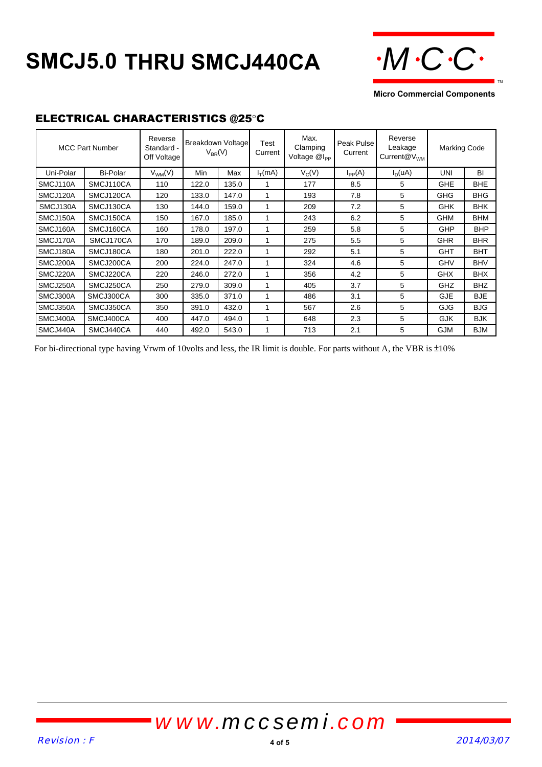# **SMCJ5.0 THRU SMCJ440CA**



**Micro Commercial Components**

#### ELECTRICAL CHARACTERISTICS @25°C

|           | <b>MCC Part Number</b> | Reverse<br>Standard -<br>Off Voltage | <b>Breakdown Voltage</b><br>$V_{BR}(V)$ |       | Test<br>Current | Max.<br>Clamping<br>Voltage @I <sub>PP</sub> | Peak Pulse<br>Current | Reverse<br>Leakage<br>$Current@V_{WM}$ | <b>Marking Code</b> |            |
|-----------|------------------------|--------------------------------------|-----------------------------------------|-------|-----------------|----------------------------------------------|-----------------------|----------------------------------------|---------------------|------------|
| Uni-Polar | Bi-Polar               | $V_{WM}(V)$                          | Min                                     | Max   | $I_{T}(mA)$     | $V_C(V)$                                     | $I_{PP}(A)$           | $I_D(uA)$                              | UNI                 | BI         |
| SMCJ110A  | SMCJ110CA              | 110                                  | 122.0                                   | 135.0 | 1               | 177                                          | 8.5                   | 5                                      | <b>GHE</b>          | <b>BHE</b> |
| SMCJ120A  | SMCJ120CA              | 120                                  | 133.0                                   | 147.0 | 1               | 193                                          | 7.8                   | 5                                      | <b>GHG</b>          | <b>BHG</b> |
| SMCJ130A  | SMCJ130CA              | 130                                  | 144.0                                   | 159.0 | 1               | 209                                          | 7.2                   | 5                                      | <b>GHK</b>          | <b>BHK</b> |
| SMCJ150A  | SMCJ150CA              | 150                                  | 167.0                                   | 185.0 | 1               | 243                                          | 6.2                   | 5                                      | <b>GHM</b>          | <b>BHM</b> |
| SMCJ160A  | SMCJ160CA              | 160                                  | 178.0                                   | 197.0 | 1               | 259                                          | 5.8                   | 5                                      | <b>GHP</b>          | <b>BHP</b> |
| SMCJ170A  | SMCJ170CA              | 170                                  | 189.0                                   | 209.0 | 1               | 275                                          | 5.5                   | 5                                      | <b>GHR</b>          | <b>BHR</b> |
| SMCJ180A  | SMCJ180CA              | 180                                  | 201.0                                   | 222.0 | 1               | 292                                          | 5.1                   | 5                                      | <b>GHT</b>          | <b>BHT</b> |
| SMCJ200A  | SMCJ200CA              | 200                                  | 224.0                                   | 247.0 | 1               | 324                                          | 4.6                   | 5                                      | <b>GHV</b>          | <b>BHV</b> |
| SMCJ220A  | SMCJ220CA              | 220                                  | 246.0                                   | 272.0 | 1               | 356                                          | 4.2                   | 5                                      | <b>GHX</b>          | <b>BHX</b> |
| SMCJ250A  | SMCJ250CA              | 250                                  | 279.0                                   | 309.0 | 1               | 405                                          | 3.7                   | 5                                      | GHZ                 | <b>BHZ</b> |
| SMCJ300A  | SMCJ300CA              | 300                                  | 335.0                                   | 371.0 | 1               | 486                                          | 3.1                   | 5                                      | <b>GJE</b>          | <b>BJE</b> |
| SMCJ350A  | SMCJ350CA              | 350                                  | 391.0                                   | 432.0 | 1               | 567                                          | 2.6                   | 5                                      | GJG                 | <b>BJG</b> |
| SMCJ400A  | SMCJ400CA              | 400                                  | 447.0                                   | 494.0 | 1               | 648                                          | 2.3                   | 5                                      | <b>GJK</b>          | <b>BJK</b> |
| SMCJ440A  | SMCJ440CA              | 440                                  | 492.0                                   | 543.0 | 1               | 713                                          | 2.1                   | 5                                      | <b>GJM</b>          | <b>BJM</b> |

For bi-directional type having Vrwm of 10volts and less, the IR limit is double. For parts without A, the VBR is  $\pm 10\%$